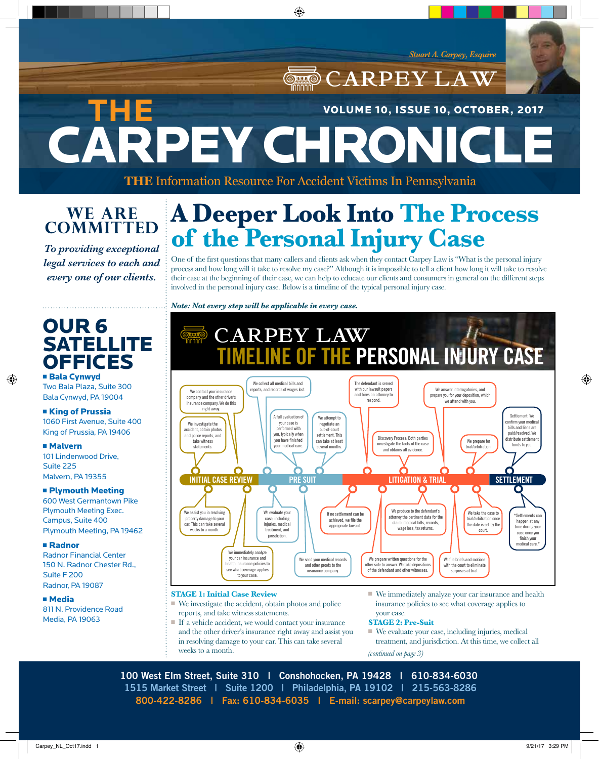# CARPEY CHRONICLE **THE**  VOLUME 10, ISSUE 10, OCTOBER, 2017

◈

**THE** Information Resource For Accident Victims In Pennsylvania

## **WE ARE COMMITTED**

*To providing exceptional legal services to each and every one of our clients.*

## OUR 6 **SATELLITE** OFFICES <sup>n</sup> Bala Cynwyd

Two Bala Plaza, Suite 300 Bala Cynwyd, PA 19004

#### ■ King of Prussia 1060 First Avenue, Suite 400 King of Prussia, PA 19406

<sup>n</sup> Malvern

⊕

101 Lindenwood Drive, Suite 225 Malvern, PA 19355

## **E** Plymouth Meeting

600 West Germantown Pike Plymouth Meeting Exec. Campus, Suite 400 Plymouth Meeting, PA 19462

### <sup>n</sup> Radnor

Radnor Financial Center 150 N. Radnor Chester Rd., Suite F 200 Radnor, PA 19087

### <sup>n</sup> Media

811 N. Providence Road Media, PA 19063

# **A Deeper Look Into The Process of the Personal Injury Case**

CARPEY LAW

One of the first questions that many callers and clients ask when they contact Carpey Law is "What is the personal injury process and how long will it take to resolve my case?" Although it is impossible to tell a client how long it will take to resolve their case at the beginning of their case, we can help to educate our clients and consumers in general on the different steps involved in the personal injury case. Below is a timeline of the typical personal injury case.

*Note: Not every step will be applicable in every case.*



### **STAGE 1: Initial Case Review**

- $\blacksquare$  We investigate the accident, obtain photos and police reports, and take witness statements.
- $\blacksquare$  If a vehicle accident, we would contact your insurance and the other driver's insurance right away and assist you in resolving damage to your car. This can take several weeks to a month.
- $\blacksquare$  We immediately analyze your car insurance and health insurance policies to see what coverage applies to your case.

#### **STAGE 2: Pre-Suit**

 $\blacksquare$  We evaluate your case, including injuries, medical treatment, and jurisdiction. At this time, we collect all *(continued on page 3)*

**100 West Elm Street, Suite 310 | Conshohocken, PA 19428 | 610-834-6030 1515 Market Street | Suite 1200 | Philadelphia, PA 19102 | 215-563-8286 800-422-8286 | Fax: 610-834-6035 | E-mail: scarpey@carpeylaw.com**

♠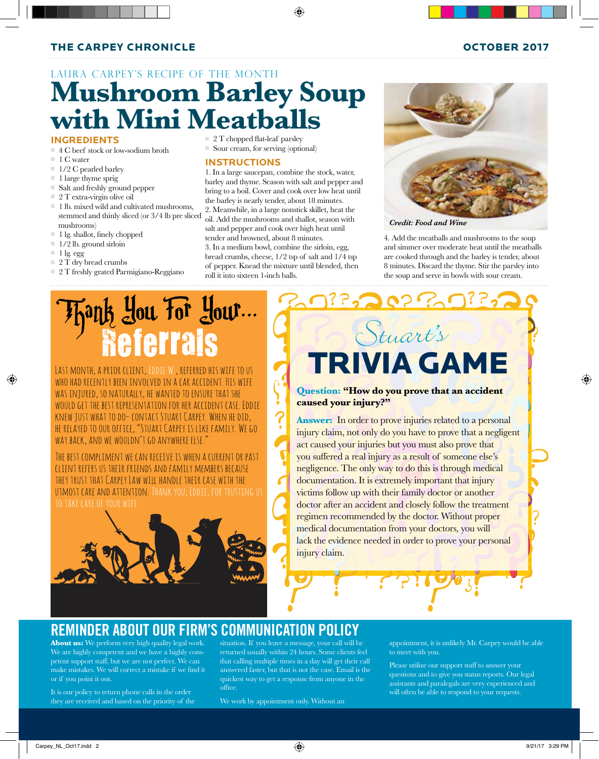## THE CARPEY CHRONICLE

## LAURA CARPEY'S RECIPE OF THE MONTH **Mushroom Barley Soup with Mini Meatballs**

## **INGREDIENTS**

- $\Box$  4 C beef stock or low-sodium broth
- $\blacksquare$  1 C water
- $\blacksquare$  1/2 C pearled barley
- $\blacksquare$  1 large thyme sprig
- <sup>n</sup> Salt and freshly ground pepper
- $\Box$  2 T extra-virgin olive oil
- $\blacksquare$  1 lb. mixed wild and cultivated mushrooms, stemmed and thinly sliced (or 3/4 lb pre sliced mushrooms)
- $\blacksquare$  1 lg. shallot, finely chopped
- $\blacksquare$  1/2 lb. ground sirloin
- $\blacksquare$  1 lg. egg

⊕

- 2 T dry bread crumbs
- <sup>n</sup> 2 T freshly grated Parmigiano-Reggiano

### $\Box$  2 T chopped flat-leaf parsley

■ Sour cream, for serving (optional)

#### **INSTRUCTIONS**

1. In a large saucepan, combine the stock, water, barley and thyme. Season with salt and pepper and bring to a boil. Cover and cook over low heat until the barley is nearly tender, about 18 minutes. 2. Meanwhile, in a large nonstick skillet, heat the oil. Add the mushrooms and shallot, season with salt and pepper and cook over high heat until tender and browned, about 8 minutes. 3. In a medium bowl, combine the sirloin, egg, bread crumbs, cheese, 1/2 tsp of salt and 1/4 tsp of pepper. Knead the mixture until blended, then roll it into sixteen 1-inch balls.

 $\sum$ 

♠

*Credit: Food and Wine*

4. Add the meatballs and mushrooms to the soup and simmer over moderate heat until the meatballs are cooked through and the barley is tender, about 8 minutes. Discard the thyme. Stir the parsley into the soup and serve in bowls with sour cream.

# $\mathcal{F}_{\mathcal{A}}$  and  $\mathcal{F}_{\mathcal{A}}$  and  $\mathcal{F}_{\mathcal{A}}$  and  $\mathcal{F}_{\mathcal{A}}$ **Referrals**

Last month, a prior client, Eddie W., referred his wife to us who had recently been involved in a car accident. His wife was injured, so naturally, he wanted to ensure that she would get the best representation for her accident case. Eddie knew just what to do- contact Stuart Carpey. When he did, he relayed to our office, "Stuart Carpey is like family. We go WAY BACK, AND WE WOULDN'T GO ANYWHERE ELSE.'

The best compliment we can receive is when a current or past client refers us their friends and family members because they trust that Carpey Law will handle their case with the utmost care and attention. Thank you, Eddie, for trusting us



## **Question: "How do you prove that an accident caused your injury?"**

Stuart's

RIVIA GAME

Answer: In order to prove injuries related to a personal injury claim, not only do you have to prove that a negligent act caused your injuries but you must also prove that you suffered a real injury as a result of someone else's negligence. The only way to do this is through medical documentation. It is extremely important that injury victims follow up with their family doctor or another doctor after an accident and closely follow the treatment regimen recommended by the doctor. Without proper medical documentation from your doctors, you will lack the evidence needed in order to prove your personal injury claim.

## **REMINDER ABOUT OUR FIRM'S COMMUNICATION POLICY**

**About us:** We perform very high quality legal work. We are highly competent and we have a highly competent support staff, but we are not perfect. We can make mistakes. We will correct a mistake if we find it or if you point it out.

It is our policy to return phone calls in the order they are received and based on the priority of the situation. If you leave a message, your call will be returned usually within 24 hours. Some clients feel that calling multiple times in a day will get their call answered faster, but that is not the case. Email is the quickest way to get a response from anyone in the office.

We work by appointment only. Without an

appointment, it is unlikely Mr. Carpey would be able to meet with you.

Please utilize our support staff to answer your questions and to give you status reports. Our legal assistants and paralegals are very experienced and will often be able to respond to your requests.

♠

## OCTOBER 2017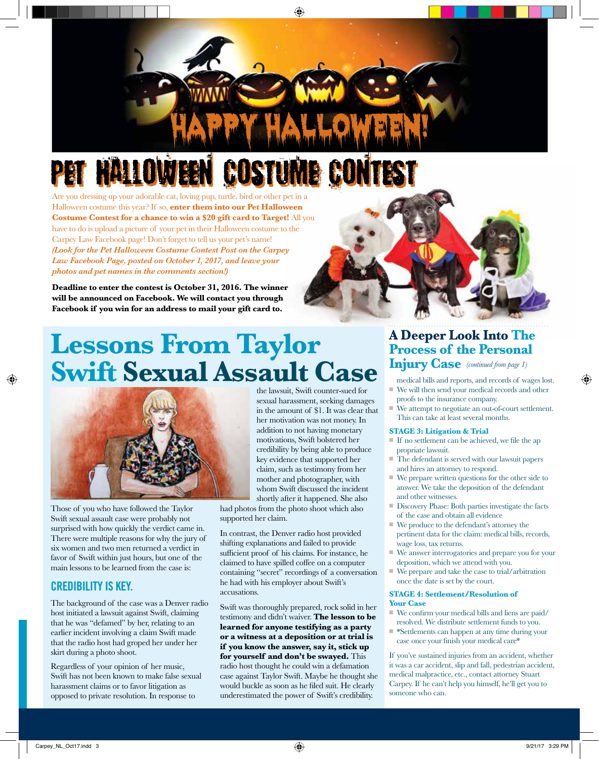

# PET HALLOW

Are you dressing up your adorable cat, loving pup, turtle, bird or other pet in a Halloween costume this year? If so, **enter them into our Pet Halloween Costume Contest for a chance to win a \$20 gift card to Target!** All you have to do is upload a picture of your pet in their Halloween costume to the Carpey Law Facebook page! Don't forget to tell us your pet's name! *(Look for the Pet Halloween Costume Contest Post on the Carpey Law Facebook Page, posted on October 1, 2017, and leave your photos and pet names in the comments section!)*

**Deadline to enter the contest is October 31, 2016. The winner will be announced on Facebook. We will contact you through Facebook if you win for an address to mail your gift card to.**



# **Lessons From Taylor Swift Sexual Assault Case**



Those of you who have followed the Taylor Swift sexual assault case were probably not surprised with how quickly the verdict came in. There were multiple reasons for why the jury of six women and two men returned a verdict in favor of Swift within just hours, but one of the main lessons to be learned from the case is:

## **CREDIBILITY IS KEY.**

The background of the case was a Denver radio host initiated a lawsuit against Swift, claiming that he was "defamed" by her, relating to an earlier incident involving a claim Swift made that the radio host had groped her under her skirt during a photo shoot.

Regardless of your opinion of her music, Swift has not been known to make false sexual harassment claims or to favor litigation as opposed to private resolution. In response to

the lawsuit, Swift counter-sued for sexual harassment, seeking damages in the amount of \$1. It was clear that her motivation was not money. In addition to not having monetary motivations, Swift bolstered her credibility by being able to produce key evidence that supported her claim, such as testimony from her mother and photographer, with whom Swift discussed the incident shortly after it happened. She also

had photos from the photo shoot which also supported her claim.

In contrast, the Denver radio host provided shifting explanations and failed to provide sufficient proof of his claims. For instance, he claimed to have spilled coffee on a computer containing "secret" recordings of a conversation he had with his employer about Swift's accusations.

Swift was thoroughly prepared, rock solid in her testimony and didn't waiver. **The lesson to be learned for anyone testifying as a party or a witness at a deposition or at trial is if you know the answer, say it, stick up for yourself and don't be swayed.** This radio host thought he could win a defamation case against Taylor Swift. Maybe he thought she would buckle as soon as he filed suit. He clearly underestimated the power of Swift's credibility.

## *(continued from page 1)* **Injury Case A Deeper Look Into The Process of the Personal**

- medical bills and reports, and records of wages lost.  $\blacksquare$  We will then send your medical records and other
- proofs to the insurance company.
- $\blacksquare$  We attempt to negotiate an out-of-court settlement. This can take at least several months.

#### **STAGE 3: Litigation & Trial**

- $\blacksquare$  If no settlement can be achieved, we file the ap propriate lawsuit.
- The defendant is served with our lawsuit papers and hires an attorney to respond.
- $\blacksquare$  We prepare written questions for the other side to answer. We take the deposition of the defendant and other witnesses.
- Discovery Phase: Both parties investigate the facts of the case and obtain all evidence
- $\blacksquare$  We produce to the defendant's attorney the pertinent data for the claim: medical bills, records, wage loss, tax returns.
- $\blacksquare$  We answer interrogatories and prepare you for your deposition, which we attend with you.
- $\blacksquare$  We prepare and take the case to trial/arbitration once the date is set by the court.

#### **STAGE 4: Settlement/Resolution of Your Case**

- $\blacksquare$  We confirm your medical bills and liens are paid/ resolved. We distribute settlement funds to you.
- \*Settlements can happen at any time during your case once your finish your medical care\*

If you've sustained injuries from an accident, whether it was a car accident, slip and fall, pedestrian accident, medical malpractice, etc., contact attorney Stuart Carpey. If he can't help you himself, he'll get you to someone who can.

⊕